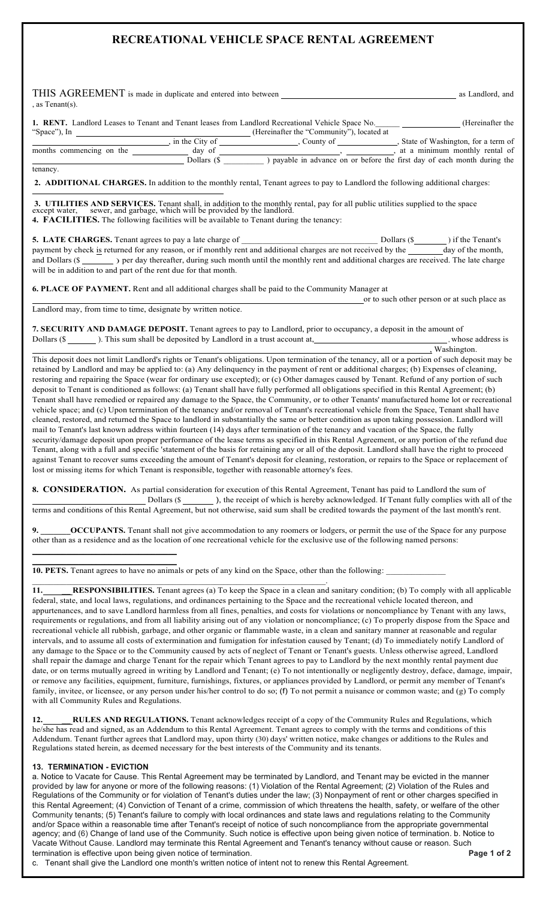## **RECREATIONAL VEHICLE SPACE RENTAL AGREEMENT**

THIS AGREEMENT is made in duplicate and entered into between as Landlord, and , as Tenant(s).

|                          |                | <b>1. RENT.</b> Landlord Leases to Tenant and Tenant leases from Landlord Recreational Vehicle Space No. | (Hereinafter the                                                       |
|--------------------------|----------------|----------------------------------------------------------------------------------------------------------|------------------------------------------------------------------------|
| "Space"), In             |                | (Hereinafter the "Community"), located at                                                                |                                                                        |
|                          | in the City of | County of                                                                                                | State of Washington, for a term of                                     |
| months commencing on the | day of         |                                                                                                          | at a minimum monthly rental of                                         |
|                          | Dollars (\$    |                                                                                                          | payable in advance on or before the first day of each month during the |

tenancy.

2. ADDITIONAL CHARGES. In addition to the monthly rental, Tenant agrees to pay to Landlord the following additional charges:

**3. UTILITIES AND SERVICES.** Tenant shall, in addition to the monthly rental, pay for all public utilities supplied to the space except water, sewer, and garbage, which will be provided by the landlord. **4. FACILITIES.** The following facilities will be available to Tenant during the tenancy:

**5. LATE CHARGES.** Tenant agrees to pay a late charge of \_\_\_\_\_\_\_\_\_\_\_\_\_\_\_\_\_\_\_\_\_\_\_\_\_\_\_\_\_ Dollars (\$  $\Box$ ) if the Tenant's payment by check is returned for any reason, or if monthly rent and additional charges are not received by the day of the month, and Dollars (\$ \_\_\_\_\_\_\_ ) per day thereafter, during such month until the monthly rent and additional charges are received. The late charge will be in addition to and part of the rent due for that month.

**6. PLACE OF PAYMENT.** Rent and all additional charges shall be paid to the Community Manager at

 or to such other person or at such place as Landlord may, from time to time, designate by written notice.

**7. SECURITY AND DAMAGE DEPOSIT.** Tenant agrees to pay to Landlord, prior to occupancy, a deposit in the amount of Dollars (\$ ). This sum shall be deposited by Landlord in a trust account at, the state of the state of the state of the state of the state of the state of the state of the state of the state of the state of the state of th

 $\rightarrow$  Washington. This deposit does not limit Landlord's rights or Tenant's obligations. Upon termination of the tenancy, all or a portion of such deposit may be retained by Landlord and may be applied to: (a) Any delinquency in the payment of rent or additional charges; (b) Expenses of cleaning, restoring and repairing the Space (wear for ordinary use excepted); or (c) Other damages caused by Tenant. Refund of any portion of such deposit to Tenant is conditioned as follows: (a) Tenant shall have fully performed all obligations specified in this Rental Agreement; (b) Tenant shall have remedied or repaired any damage to the Space, the Community, or to other Tenants' manufactured home lot or recreational vehicle space; and (c) Upon termination of the tenancy and/or removal of Tenant's recreational vehicle from the Space, Tenant shall have cleaned, restored, and returned the Space to landlord in substantially the same or better condition as upon taking possession. Landlord will mail to Tenant's last known address within fourteen (14) days after termination of the tenancy and vacation of the Space, the fully security/damage deposit upon proper performance of the lease terms as specified in this Rental Agreement, or any portion of the refund due Tenant, along with a full and specific 'statement of the basis for retaining any or all of the deposit. Landlord shall have the right to proceed against Tenant to recover sums exceeding the amount of Tenant's deposit for cleaning, restoration, or repairs to the Space or replacement of lost or missing items for which Tenant is responsible, together with reasonable attorney's fees.

**8. CONSIDERATION.** As partial consideration for execution of this Rental Agreement, Tenant has paid to Landlord the sum of ), the receipt of which is hereby acknowledged. If Tenant fully complies with all of the terms and conditions of this Rental Agreement, but not otherwise, said sum shall be credited towards the payment of the last month's rent.

**OCCUPANTS.** Tenant shall not give accommodation to any roomers or lodgers, or permit the use of the Space for any purpose other than as a residence and as the location of one recreational vehicle for the exclusive use of the following named persons:  $\mathcal{L}_\text{max}$  , where  $\mathcal{L}_\text{max}$  and  $\mathcal{L}_\text{max}$ 

10. PETS. Tenant agrees to have no animals or pets of any kind on the Space, other than the following:

 $\mathcal{L}_\mathcal{L} = \{ \mathcal{L}_\mathcal{L} = \{ \mathcal{L}_\mathcal{L} = \{ \mathcal{L}_\mathcal{L} = \{ \mathcal{L}_\mathcal{L} = \{ \mathcal{L}_\mathcal{L} = \{ \mathcal{L}_\mathcal{L} = \{ \mathcal{L}_\mathcal{L} = \{ \mathcal{L}_\mathcal{L} = \{ \mathcal{L}_\mathcal{L} = \{ \mathcal{L}_\mathcal{L} = \{ \mathcal{L}_\mathcal{L} = \{ \mathcal{L}_\mathcal{L} = \{ \mathcal{L}_\mathcal{L} = \{ \mathcal{L}_\mathcal{$ 

**11. RESPONSIBILITIES.** Tenant agrees (a) To keep the Space in a clean and sanitary condition; (b) To comply with all applicable federal, state, and local laws, regulations, and ordinances pertaining to the Space and the recreational vehicle located thereon, and appurtenances, and to save Landlord harmless from all fines, penalties, and costs for violations or noncompliance by Tenant with any laws, requirements or regulations, and from all liability arising out of any violation or noncompliance; (c) To properly dispose from the Space and recreational vehicle all rubbish, garbage, and other organic or flammable waste, in a clean and sanitary manner at reasonable and regular intervals, and to assume all costs of extermination and fumigation for infestation caused by Tenant; (d) To immediately notify Landlord of any damage to the Space or to the Community caused by acts of neglect of Tenant or Tenant's guests. Unless otherwise agreed, Landlord shall repair the damage and charge Tenant for the repair which Tenant agrees to pay to Landlord by the next monthly rental payment due date, or on terms mutually agreed in writing by Landlord and Tenant; (e) To not intentionally or negligently destroy, deface, damage, impair, or remove any facilities, equipment, furniture, furnishings, fixtures, or appliances provided by Landlord, or permit any member of Tenant's family, invitee, or licensee, or any person under his/her control to do so; (f) To not permit a nuisance or common waste; and (g) To comply with all Community Rules and Regulations.

**12. RULES AND REGULATIONS.** Tenant acknowledges receipt of a copy of the Community Rules and Regulations, which he/she has read and signed, as an Addendum to this Rental Agreement. Tenant agrees to comply with the terms and conditions of this Addendum. Tenant further agrees that Landlord may, upon thirty (30) days' written notice, make changes or additions to the Rules and Regulations stated herein, as deemed necessary for the best interests of the Community and its tenants.

## **13. TERMINATION - EVICTION**

 $\mathcal{L}_\text{max}$  , where  $\mathcal{L}_\text{max}$  is the set of the set of the set of the set of the set of the set of the set of the set of the set of the set of the set of the set of the set of the set of the set of the set of the se

a. Notice to Vacate for Cause. This Rental Agreement may be terminated by Landlord, and Tenant may be evicted in the manner provided by law for anyone or more of the following reasons: (1) Violation of the Rental Agreement; (2) Violation of the Rules and Regulations of the Community or for violation of Tenant's duties under the law; (3) Nonpayment of rent or other charges specified in this Rental Agreement; (4) Conviction of Tenant of a crime, commission of which threatens the health, safety, or welfare of the other Community tenants; (5) Tenant's failure to comply with local ordinances and state laws and regulations relating to the Community and/or Space within a reasonable time after Tenant's receipt of notice of such noncompliance from the appropriate governmental agency; and (6) Change of land use of the Community. Such notice is effective upon being given notice of termination. b. Notice to Vacate Without Cause. Landlord may terminate this Rental Agreement and Tenant's tenancy without cause or reason. Such termination is effective upon being given notice of termination. **Page 1 of 2**

c. Tenant shall give the Landlord one month's written notice of intent not to renew this Rental Agreement.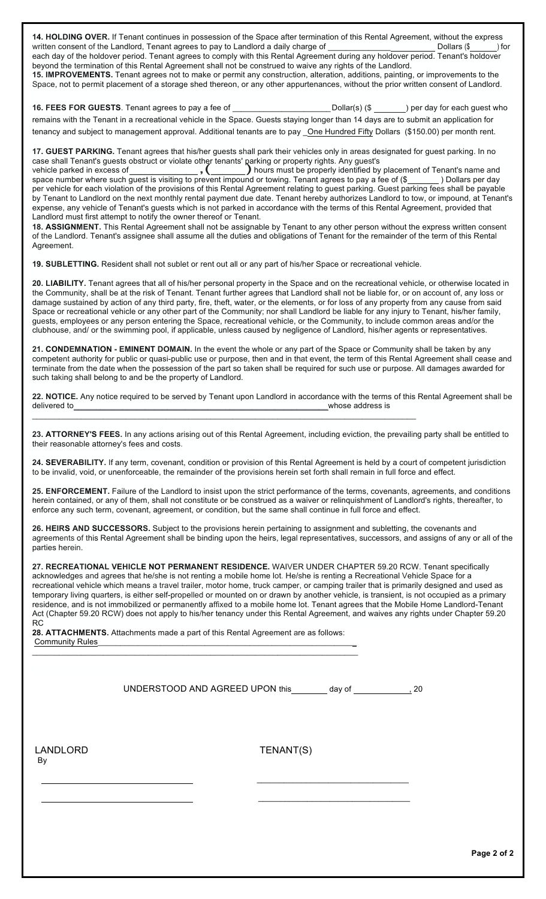**14. HOLDING OVER.** If Tenant continues in possession of the Space after termination of this Rental Agreement, without the express written consent of the Landlord, Tenant agrees to pay to Landlord a daily charge of \_\_\_\_\_\_\_\_\_\_\_\_\_\_\_\_\_\_\_\_\_\_\_\_\_\_\_\_ Dollars (\$\_\_\_\_\_\_\_) for each day of the holdover period. Tenant agrees to comply with this Rental Agreement during any holdover period. Tenant's holdover beyond the termination of this Rental Agreement shall not be construed to waive any rights of the Landlord. **15. IMPROVEMENTS.** Tenant agrees not to make or permit any construction, alteration, additions, painting, or improvements to the Space, not to permit placement of a storage shed thereon, or any other appurtenances, without the prior written consent of Landlord.

**16. FEES FOR GUESTS**. Tenant agrees to pay a fee of \_\_\_\_\_\_\_\_\_\_\_\_\_\_\_\_\_\_\_\_\_\_\_\_\_\_\_Dollar(s) (\$ \_\_\_\_\_\_\_) per day for each guest who remains with the Tenant in a recreational vehicle in the Space. Guests staying longer than 14 days are to submit an application for tenancy and subject to management approval. Additional tenants are to pay \_One Hundred Fifty Dollars (\$150.00) per month rent.

**17. GUEST PARKING.** Tenant agrees that his/her guests shall park their vehicles only in areas designated for guest parking. In no

case shall Tenant's guests obstruct or violate other tenants' parking or property rights. Any guest's vehicle parked in excess of *\_\_\_\_\_\_*,(\_\_\_) hours must be properly identified by placement of Tenant's name and vehicle parked in excess of  $\zeta$   $\zeta$   $\zeta$   $\zeta$   $\zeta$  hours must be properly identified by placement of Tenant's name and space number where such guest is visiting to prevent impound or towing. Tenant agrees to pay a per vehicle for each violation of the provisions of this Rental Agreement relating to guest parking. Guest parking fees shall be payable by Tenant to Landlord on the next monthly rental payment due date. Tenant hereby authorizes Landlord to tow, or impound, at Tenant's expense, any vehicle of Tenant's guests which is not parked in accordance with the terms of this Rental Agreement, provided that Landlord must first attempt to notify the owner thereof or Tenant.

**18. ASSIGNMENT.** This Rental Agreement shall not be assignable by Tenant to any other person without the express written consent of the Landlord. Tenant's assignee shall assume all the duties and obligations of Tenant for the remainder of the term of this Rental Agreement.

**19. SUBLETTING.** Resident shall not sublet or rent out all or any part of his/her Space or recreational vehicle.

\_\_\_\_\_\_\_\_\_\_\_\_\_\_\_\_\_\_\_\_\_\_\_\_\_\_\_\_\_\_\_\_\_\_\_\_\_\_\_\_\_\_\_\_\_\_\_\_\_\_\_\_\_\_\_\_\_\_\_\_\_\_\_\_\_\_\_\_\_\_\_\_\_\_\_\_\_\_\_\_\_\_\_\_\_\_

**20. LIABILITY.** Tenant agrees that all of his/her personal property in the Space and on the recreational vehicle, or otherwise located in the Community, shall be at the risk of Tenant. Tenant further agrees that Landlord shall not be liable for, or on account of, any loss or damage sustained by action of any third party, fire, theft, water, or the elements, or for loss of any property from any cause from said Space or recreational vehicle or any other part of the Community; nor shall Landlord be liable for any injury to Tenant, his/her family, guests, employees or any person entering the Space, recreational vehicle, or the Community, to include common areas and/or the clubhouse, and/ or the swimming pool, if applicable, unless caused by negligence of Landlord, his/her agents or representatives.

**21. CONDEMNATION - EMINENT DOMAIN.** In the event the whole or any part of the Space or Community shall be taken by any competent authority for public or quasi-public use or purpose, then and in that event, the term of this Rental Agreement shall cease and terminate from the date when the possession of the part so taken shall be required for such use or purpose. All damages awarded for such taking shall belong to and be the property of Landlord.

**22. NOTICE.** Any notice required to be served by Tenant upon Landlord in accordance with the terms of this Rental Agreement shall be delivered to\_\_\_\_\_\_\_\_\_\_\_\_\_\_\_\_\_\_\_\_\_\_\_\_\_\_\_\_\_\_\_\_\_\_\_\_\_\_\_\_\_\_\_\_\_\_\_\_\_\_\_\_\_\_\_\_\_whose address is

**23. ATTORNEY'S FEES.** In any actions arising out of this Rental Agreement, including eviction, the prevailing party shall be entitled to their reasonable attorney's fees and costs.

**24. SEVERABILITY.** If any term, covenant, condition or provision of this Rental Agreement is held by a court of competent jurisdiction to be invalid, void, or unenforceable, the remainder of the provisions herein set forth shall remain in full force and effect.

25. ENFORCEMENT. Failure of the Landlord to insist upon the strict performance of the terms, covenants, agreements, and conditions herein contained, or any of them, shall not constitute or be construed as a waiver or relinquishment of Landlord's rights, thereafter, to enforce any such term, covenant, agreement, or condition, but the same shall continue in full force and effect.

**26. HEIRS AND SUCCESSORS.** Subject to the provisions herein pertaining to assignment and subletting, the covenants and agreements of this Rental Agreement shall be binding upon the heirs, legal representatives, successors, and assigns of any or all of the parties herein.

**27. RECREATIONAL VEHICLE NOT PERMANENT RESIDENCE.** WAIVER UNDER CHAPTER 59.20 RCW. Tenant specifically acknowledges and agrees that he/she is not renting a mobile home lot. He/she is renting a Recreational Vehicle Space for a recreational vehicle which means a travel trailer, motor home, truck camper, or camping trailer that is primarily designed and used as temporary living quarters, is either self-propelled or mounted on or drawn by another vehicle, is transient, is not occupied as a primary residence, and is not immobilized or permanently affixed to a mobile home lot. Tenant agrees that the Mobile Home Landlord-Tenant Act (Chapter 59.20 RCW) does not apply to his/her tenancy under this Rental Agreement, and waives any rights under Chapter 59.20 RC

**28. ATTACHMENTS.** Attachments made a part of this Rental Agreement are as follows: Community Rules

\_\_\_\_\_\_\_\_\_\_\_\_\_\_\_\_\_\_\_\_\_\_\_\_\_\_\_\_\_\_\_\_\_\_\_\_\_\_\_\_\_\_\_\_\_\_\_\_\_\_\_\_\_\_\_\_\_\_\_\_\_\_\_\_\_\_\_\_\_\_\_\_\_

 $\frac{1}{\sqrt{2}}$  , and the set of the set of the set of the set of the set of the set of the set of the set of the set of the set of the set of the set of the set of the set of the set of the set of the set of the set of the

 $\frac{1}{2}$  , and the set of the set of the set of the set of the set of the set of the set of the set of the set of the set of the set of the set of the set of the set of the set of the set of the set of the set of the set

UNDERSTOOD AND AGREED UPON this day of , 20

By

LANDLORD TENANT(S)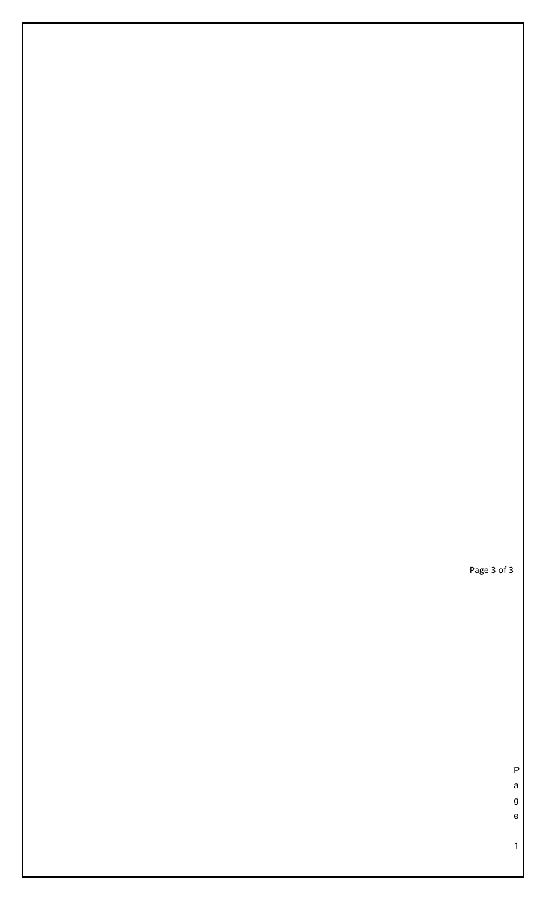Page 3 of 3

 $\mathfrak g$  $\mathsf{e}% _{t}\left( t\right) \equiv\mathsf{e}_{t}\left( t\right) ,$ 

 $\mathsf{P}$  $\mathsf{a}$ 

 $\mathbf{1}$